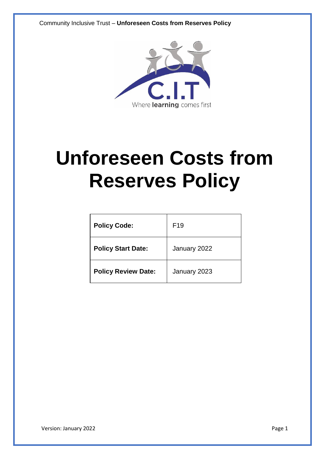Community Inclusive Trust – **Unforeseen Costs from Reserves Policy**



# **Unforeseen Costs from Reserves Policy**

| <b>Policy Code:</b>        | F <sub>19</sub> |
|----------------------------|-----------------|
| <b>Policy Start Date:</b>  | January 2022    |
| <b>Policy Review Date:</b> | January 2023    |

Version: January 2022 **Page 1**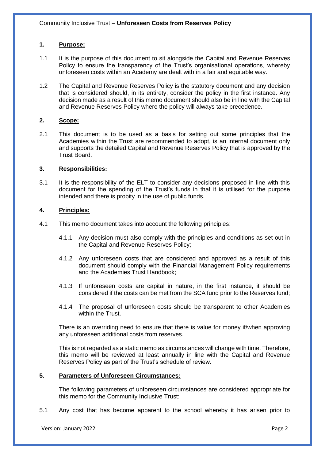# **1. Purpose:**

- 1.1 It is the purpose of this document to sit alongside the Capital and Revenue Reserves Policy to ensure the transparency of the Trust's organisational operations, whereby unforeseen costs within an Academy are dealt with in a fair and equitable way.
- 1.2 The Capital and Revenue Reserves Policy is the statutory document and any decision that is considered should, in its entirety, consider the policy in the first instance. Any decision made as a result of this memo document should also be in line with the Capital and Revenue Reserves Policy where the policy will always take precedence.

## **2. Scope:**

2.1 This document is to be used as a basis for setting out some principles that the Academies within the Trust are recommended to adopt, is an internal document only and supports the detailed Capital and Revenue Reserves Policy that is approved by the Trust Board.

## **3. Responsibilities:**

3.1 It is the responsibility of the ELT to consider any decisions proposed in line with this document for the spending of the Trust's funds in that it is utilised for the purpose intended and there is probity in the use of public funds.

# **4. Principles:**

- 4.1 This memo document takes into account the following principles:
	- 4.1.1 Any decision must also comply with the principles and conditions as set out in the Capital and Revenue Reserves Policy;
	- 4.1.2 Any unforeseen costs that are considered and approved as a result of this document should comply with the Financial Management Policy requirements and the Academies Trust Handbook;
	- 4.1.3 If unforeseen costs are capital in nature, in the first instance, it should be considered if the costs can be met from the SCA fund prior to the Reserves fund;
	- 4.1.4 The proposal of unforeseen costs should be transparent to other Academies within the Trust.

There is an overriding need to ensure that there is value for money if/when approving any unforeseen additional costs from reserves.

This is not regarded as a static memo as circumstances will change with time. Therefore, this memo will be reviewed at least annually in line with the Capital and Revenue Reserves Policy as part of the Trust's schedule of review.

### **5. Parameters of Unforeseen Circumstances:**

The following parameters of unforeseen circumstances are considered appropriate for this memo for the Community Inclusive Trust:

5.1 Any cost that has become apparent to the school whereby it has arisen prior to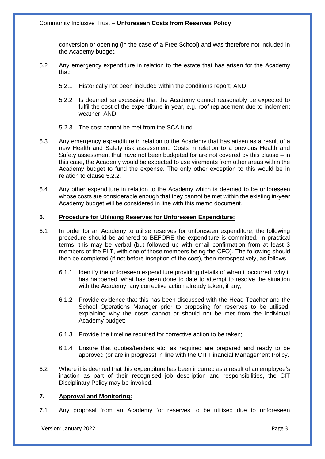conversion or opening (in the case of a Free School) and was therefore not included in the Academy budget.

- 5.2 Any emergency expenditure in relation to the estate that has arisen for the Academy that:
	- 5.2.1 Historically not been included within the conditions report; AND
	- 5.2.2 Is deemed so excessive that the Academy cannot reasonably be expected to fulfil the cost of the expenditure in-year, e.g. roof replacement due to inclement weather. AND
	- 5.2.3 The cost cannot be met from the SCA fund.
- 5.3 Any emergency expenditure in relation to the Academy that has arisen as a result of a new Health and Safety risk assessment. Costs in relation to a previous Health and Safety assessment that have not been budgeted for are not covered by this clause – in this case, the Academy would be expected to use virements from other areas within the Academy budget to fund the expense. The only other exception to this would be in relation to clause 5.2.2.
- 5.4 Any other expenditure in relation to the Academy which is deemed to be unforeseen whose costs are considerable enough that they cannot be met within the existing in-year Academy budget will be considered in line with this memo document.

#### **6. Procedure for Utilising Reserves for Unforeseen Expenditure:**

- 6.1 In order for an Academy to utilise reserves for unforeseen expenditure, the following procedure should be adhered to BEFORE the expenditure is committed. In practical terms, this may be verbal (but followed up with email confirmation from at least 3 members of the ELT, with one of those members being the CFO). The following should then be completed (if not before inception of the cost), then retrospectively, as follows:
	- 6.1.1 Identify the unforeseen expenditure providing details of when it occurred, why it has happened, what has been done to date to attempt to resolve the situation with the Academy, any corrective action already taken, if any:
	- 6.1.2 Provide evidence that this has been discussed with the Head Teacher and the School Operations Manager prior to proposing for reserves to be utilised, explaining why the costs cannot or should not be met from the individual Academy budget;
	- 6.1.3 Provide the timeline required for corrective action to be taken;
	- 6.1.4 Ensure that quotes/tenders etc. as required are prepared and ready to be approved (or are in progress) in line with the CIT Financial Management Policy.
- 6.2 Where it is deemed that this expenditure has been incurred as a result of an employee's inaction as part of their recognised job description and responsibilities, the CIT Disciplinary Policy may be invoked.

# **7. Approval and Monitoring:**

7.1 Any proposal from an Academy for reserves to be utilised due to unforeseen